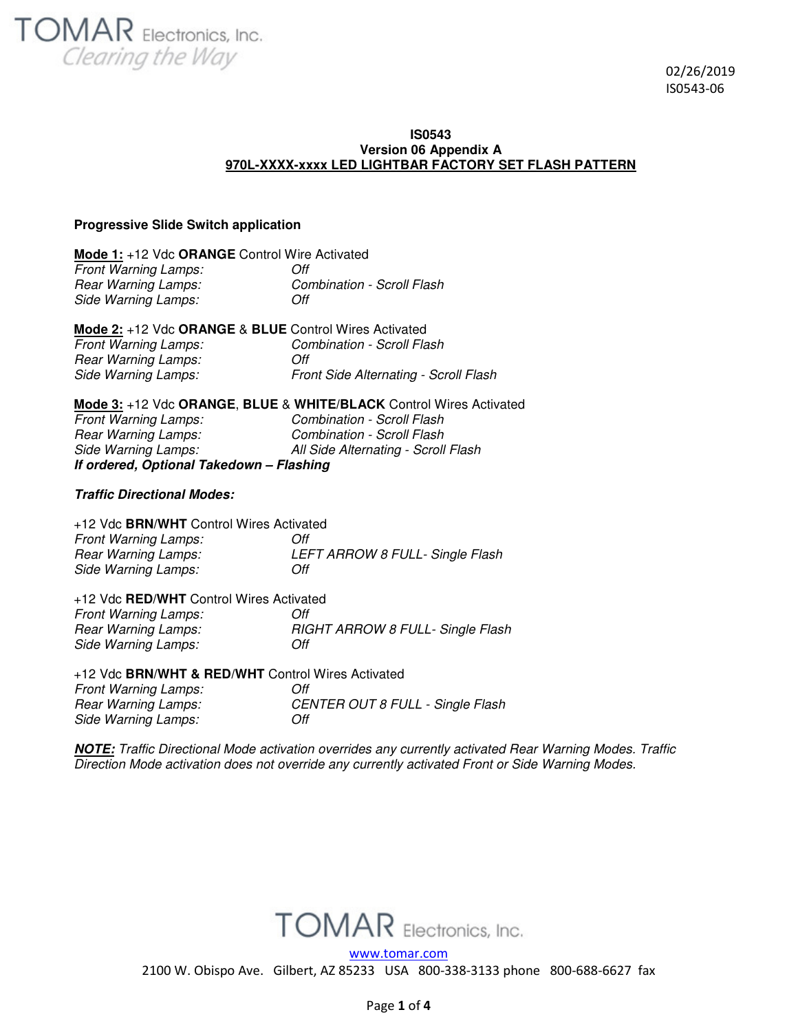**TOMAR** Electronics, Inc. Clearing the Way

 02/26/2019 IS0543-06

#### **IS0543 Version 06 Appendix A 970L-XXXX-xxxx LED LIGHTBAR FACTORY SET FLASH PATTERN**

# **Progressive Slide Switch application**

| Mode 1: +12 Vdc ORANGE Control Wire Activated |                                   |  |
|-----------------------------------------------|-----------------------------------|--|
| <b>Front Warning Lamps:</b>                   | Off                               |  |
| Rear Warning Lamps:                           | <b>Combination - Scroll Flash</b> |  |
| Side Warning Lamps:                           | Off                               |  |

| Mode 2: +12 Vdc ORANGE & BLUE Control Wires Activated |                                       |
|-------------------------------------------------------|---------------------------------------|
| <b>Front Warning Lamps:</b>                           | Combination - Scroll Flash            |
| Rear Warning Lamps:                                   | Off                                   |
| Side Warning Lamps:                                   | Front Side Alternating - Scroll Flash |

| <b>Mode 3: +12 Vdc ORANGE, BLUE &amp; WHITE/BLACK Control Wires Activated</b> |                                     |  |
|-------------------------------------------------------------------------------|-------------------------------------|--|
| <b>Front Warning Lamps:</b>                                                   | Combination - Scroll Flash          |  |
| Rear Warning Lamps:                                                           | Combination - Scroll Flash          |  |
| Side Warning Lamps:                                                           | All Side Alternating - Scroll Flash |  |
| If ordered, Optional Takedown - Flashing                                      |                                     |  |

# **Traffic Directional Modes:**

| +12 Vdc BRN/WHT Control Wires Activated |                                 |
|-----------------------------------------|---------------------------------|
| <b>Front Warning Lamps:</b>             | Off                             |
| Rear Warning Lamps:                     | LEFT ARROW 8 FULL- Single Flash |
| Side Warning Lamps:                     | Off                             |

# +12 Vdc **RED/WHT** Control Wires Activated

| <b>Front Warning Lamps:</b> | Off                              |
|-----------------------------|----------------------------------|
| Rear Warning Lamps:         | RIGHT ARROW 8 FULL- Single Flash |
| Side Warning Lamps:         | Off                              |
|                             |                                  |

# +12 Vdc **BRN/WHT & RED/WHT** Control Wires Activated *Front Warning Lamps: Off Rear Warning Lamps: CENTER OUT 8 FULL - Single Flash Side Warning Lamps: Off*

**NOTE:** *Traffic Directional Mode activation overrides any currently activated Rear Warning Modes. Traffic Direction Mode activation does not override any currently activated Front or Side Warning Modes.* 



www.tomar.com

2100 W. Obispo Ave. Gilbert, AZ 85233 USA 800-338-3133 phone 800-688-6627 fax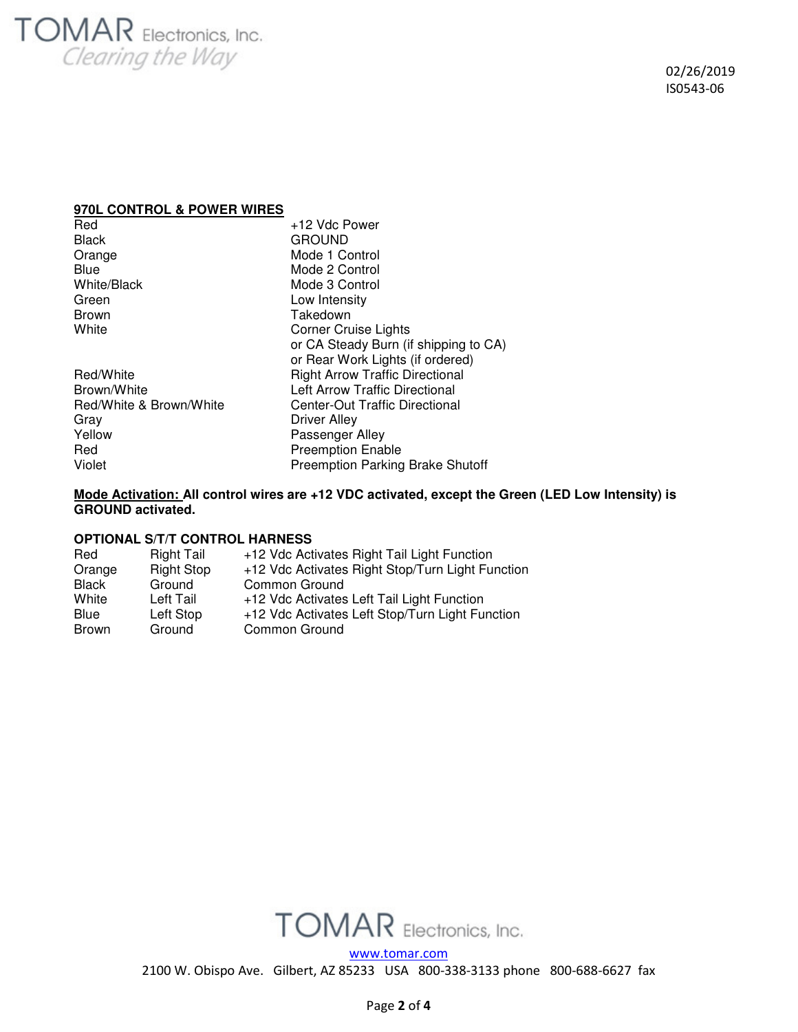# **TOMAR** Electronics, Inc. Clearing the Way

# **970L CONTROL & POWER WIRES**

| Red                     | +12 Vdc Power                           |
|-------------------------|-----------------------------------------|
| <b>Black</b>            | <b>GROUND</b>                           |
| Orange                  | Mode 1 Control                          |
| Blue                    | Mode 2 Control                          |
| <b>White/Black</b>      | Mode 3 Control                          |
| Green                   | Low Intensity                           |
| <b>Brown</b>            | Takedown                                |
| White                   | <b>Corner Cruise Lights</b>             |
|                         | or CA Steady Burn (if shipping to CA)   |
|                         | or Rear Work Lights (if ordered)        |
| Red/White               | <b>Right Arrow Traffic Directional</b>  |
| Brown/White             | Left Arrow Traffic Directional          |
| Red/White & Brown/White | <b>Center-Out Traffic Directional</b>   |
| Grav                    | Driver Alley                            |
| Yellow                  | Passenger Alley                         |
| Red                     | <b>Preemption Enable</b>                |
| Violet                  | <b>Preemption Parking Brake Shutoff</b> |

# **Mode Activation: All control wires are +12 VDC activated, except the Green (LED Low Intensity) is GROUND activated.**

# **OPTIONAL S/T/T CONTROL HARNESS**

| Red          | <b>Right Tail</b> | +12 Vdc Activates Right Tail Light Function      |
|--------------|-------------------|--------------------------------------------------|
| Orange       | <b>Right Stop</b> | +12 Vdc Activates Right Stop/Turn Light Function |
| <b>Black</b> | Ground            | Common Ground                                    |
| White        | Left Tail         | +12 Vdc Activates Left Tail Light Function       |
| Blue         | Left Stop         | +12 Vdc Activates Left Stop/Turn Light Function  |
| <b>Brown</b> | Ground            | Common Ground                                    |



www.tomar.com

2100 W. Obispo Ave. Gilbert, AZ 85233 USA 800-338-3133 phone 800-688-6627 fax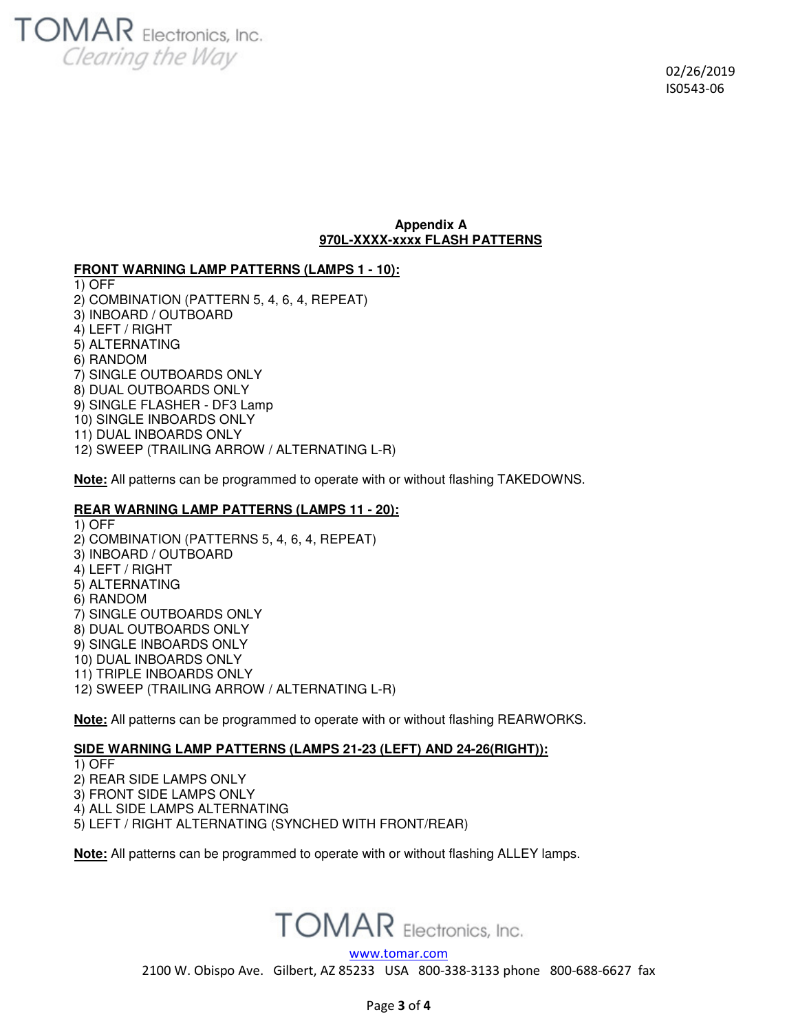

# **Appendix A 970L-XXXX-xxxx FLASH PATTERNS**

**FRONT WARNING LAMP PATTERNS (LAMPS 1 - 10):** 

1) OFF 2) COMBINATION (PATTERN 5, 4, 6, 4, REPEAT) 3) INBOARD / OUTBOARD 4) LEFT / RIGHT 5) ALTERNATING 6) RANDOM 7) SINGLE OUTBOARDS ONLY 8) DUAL OUTBOARDS ONLY 9) SINGLE FLASHER - DF3 Lamp 10) SINGLE INBOARDS ONLY 11) DUAL INBOARDS ONLY 12) SWEEP (TRAILING ARROW / ALTERNATING L-R)

**Note:** All patterns can be programmed to operate with or without flashing TAKEDOWNS.

# **REAR WARNING LAMP PATTERNS (LAMPS 11 - 20):**

1) OFF 2) COMBINATION (PATTERNS 5, 4, 6, 4, REPEAT) 3) INBOARD / OUTBOARD 4) LEFT / RIGHT 5) ALTERNATING 6) RANDOM 7) SINGLE OUTBOARDS ONLY 8) DUAL OUTBOARDS ONLY 9) SINGLE INBOARDS ONLY 10) DUAL INBOARDS ONLY 11) TRIPLE INBOARDS ONLY 12) SWEEP (TRAILING ARROW / ALTERNATING L-R)

**Note:** All patterns can be programmed to operate with or without flashing REARWORKS.

# **SIDE WARNING LAMP PATTERNS (LAMPS 21-23 (LEFT) AND 24-26(RIGHT)):**

1) OFF

2) REAR SIDE LAMPS ONLY

3) FRONT SIDE LAMPS ONLY

4) ALL SIDE LAMPS ALTERNATING

5) LEFT / RIGHT ALTERNATING (SYNCHED WITH FRONT/REAR)

**Note:** All patterns can be programmed to operate with or without flashing ALLEY lamps.



www.tomar.com

2100 W. Obispo Ave. Gilbert, AZ 85233 USA 800-338-3133 phone 800-688-6627 fax